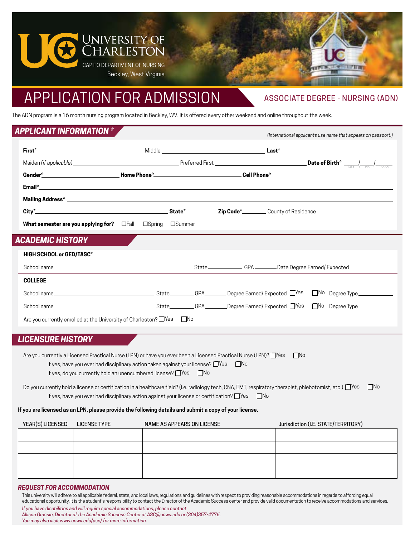

# APPLICATION FOR ADMISSION

# ASSOCIATE DEGREE - NURSING (ADN)

*(International applicants use name that appears on passport.)*

The ADN program is a 16 month nursing program located in Beckley, WV. It is offered every other weekend and online throughout the week.

# *APPLICANT INFORMATION \**

| <b>What semester are you applying for?</b> $\Box$ Fall $\Box$ Spring $\Box$ Summer |  |  |  |
|------------------------------------------------------------------------------------|--|--|--|
| <b>ACADEMIC HISTORY</b>                                                            |  |  |  |
| <b>HIGH SCHOOL or GED/TASC*</b>                                                    |  |  |  |
|                                                                                    |  |  |  |
| <b>COLLEGE</b>                                                                     |  |  |  |
|                                                                                    |  |  |  |
|                                                                                    |  |  |  |

Are you currently enrolled at the University of Charleston? ■ Yes □ No

## *LICENSURE HISTORY*

| Are you currently a Licensed Practical Nurse (LPN) or have you ever been a Licensed Practical Nurse (LPN)? $\Box$ Yes |  |  |  |
|-----------------------------------------------------------------------------------------------------------------------|--|--|--|
| <b>No</b><br>If yes, have you ever had disciplinary action taken against your license? $\Box$ Yes                     |  |  |  |
| If yes, do you currently hold an unencumbered license? $\Box$ Yes $\Box$ No                                           |  |  |  |

Do you currently hold a license or certification in a healthcare field? (i.e. radiology tech, CNA, EMT, respiratory therapist, phlebotomist, etc.)  $\Box$  Yes  $\Box$  No If yes, have you ever had disciplinary action against your license or certification? □Yes □No

#### **If you are licensed as an LPN, please provide the following details and submit a copy of your license.**

| YEAR(S) LICENSED LICENSE TYPE | NAME AS APPEARS ON LICENSE | Jurisdiction (I.E. STATE/TERRITORY) |
|-------------------------------|----------------------------|-------------------------------------|
|                               |                            |                                     |
|                               |                            |                                     |
|                               |                            |                                     |
|                               |                            |                                     |

#### *REQUEST FOR ACCOMMODATION*

This university will adhere to all applicable federal, state, and local laws, regulations and guidelines with respect to providing reasonable accommodations in regards to affording equal educational opportunity. It is the student's responsibility to contact the Director of the Academic Success center and provide valid documentation to receive accommodations and services.

| If you have disabilities and will require special accommodations, please contact           |
|--------------------------------------------------------------------------------------------|
| Allison Grassie, Director of the Academic Success Center at ASC@ucwv.edu or (304)357-4776. |
| You may also visit www.ucwy.edu/asc/for more information.                                  |